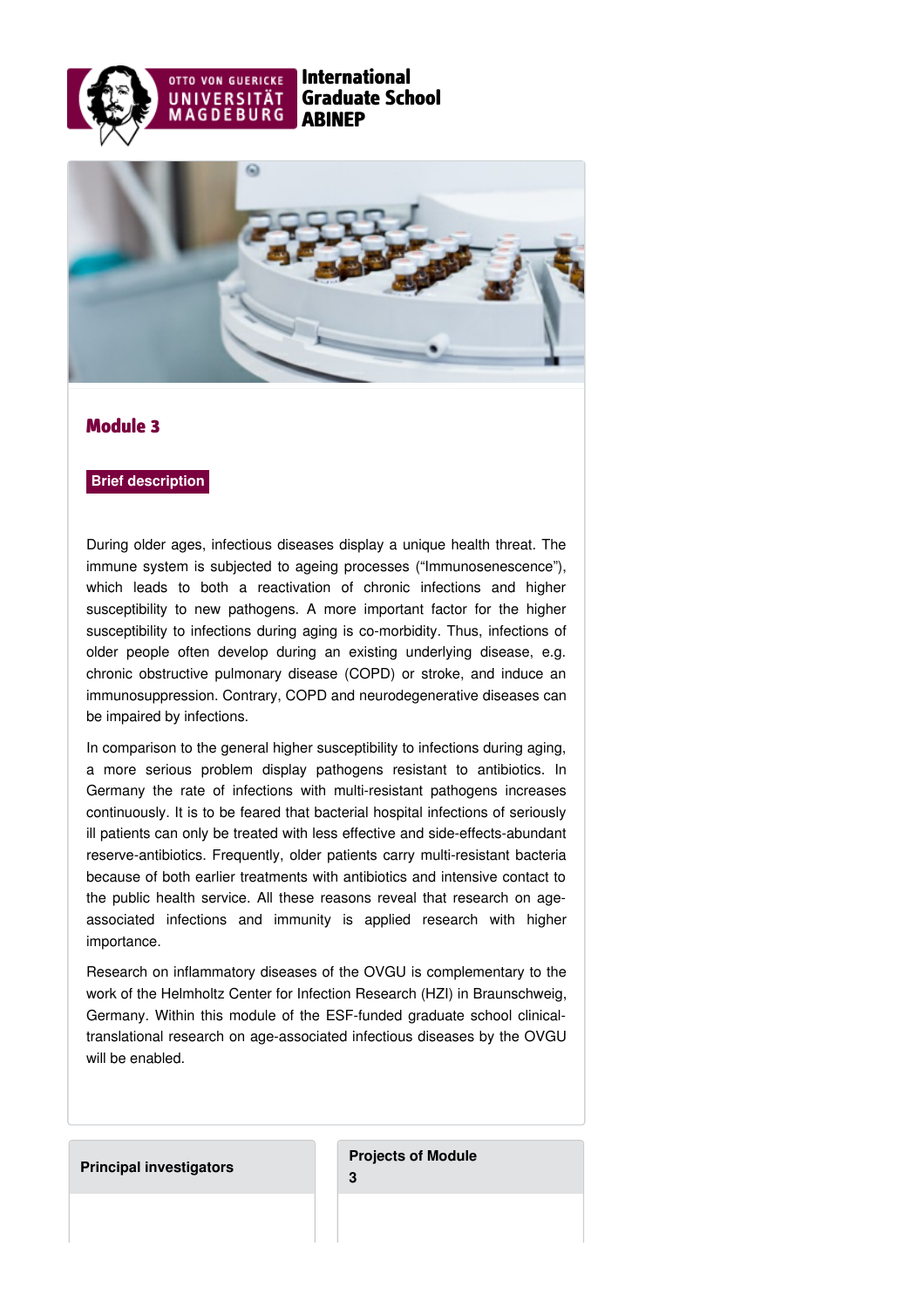



## Module 3

## **Brief description**

During older ages, infectious diseases display a unique health threat. The immune system is subjected to ageing processes ("Immunosenescence"), which leads to both a reactivation of chronic infections and higher susceptibility to new pathogens. A more important factor for the higher susceptibility to infections during aging is co-morbidity. Thus, infections of older people often develop during an existing underlying disease, e.g. chronic obstructive pulmonary disease (COPD) or stroke, and induce an immunosuppression. Contrary, COPD and neurodegenerative diseases can be impaired by infections.

In comparison to the general higher susceptibility to infections during aging, a more serious problem display pathogens resistant to antibiotics. In Germany the rate of infections with multi-resistant pathogens increases continuously. It is to be feared that bacterial hospital infections of seriously ill patients can only be treated with less effective and side-effects-abundant reserve-antibiotics. Frequently, older patients carry multi-resistant bacteria because of both earlier treatments with antibiotics and intensive contact to the public health service. All these reasons reveal that research on ageassociated infections and immunity is applied research with higher importance.

Research on inflammatory diseases of the OVGU is complementary to the work of the Helmholtz Center for Infection Research (HZI) in Braunschweig, Germany. Within this module of the ESF-funded graduate school clinicaltranslational research on age-associated infectious diseases by the OVGU will be enabled.

## **Principal [investigators](https://www.abinep.ovgu.de/Module+3/Principal+investigators.html)**

**[Projects](https://www.abinep.ovgu.de/Module+3/Projects+of+Module+3.html) of Module 3**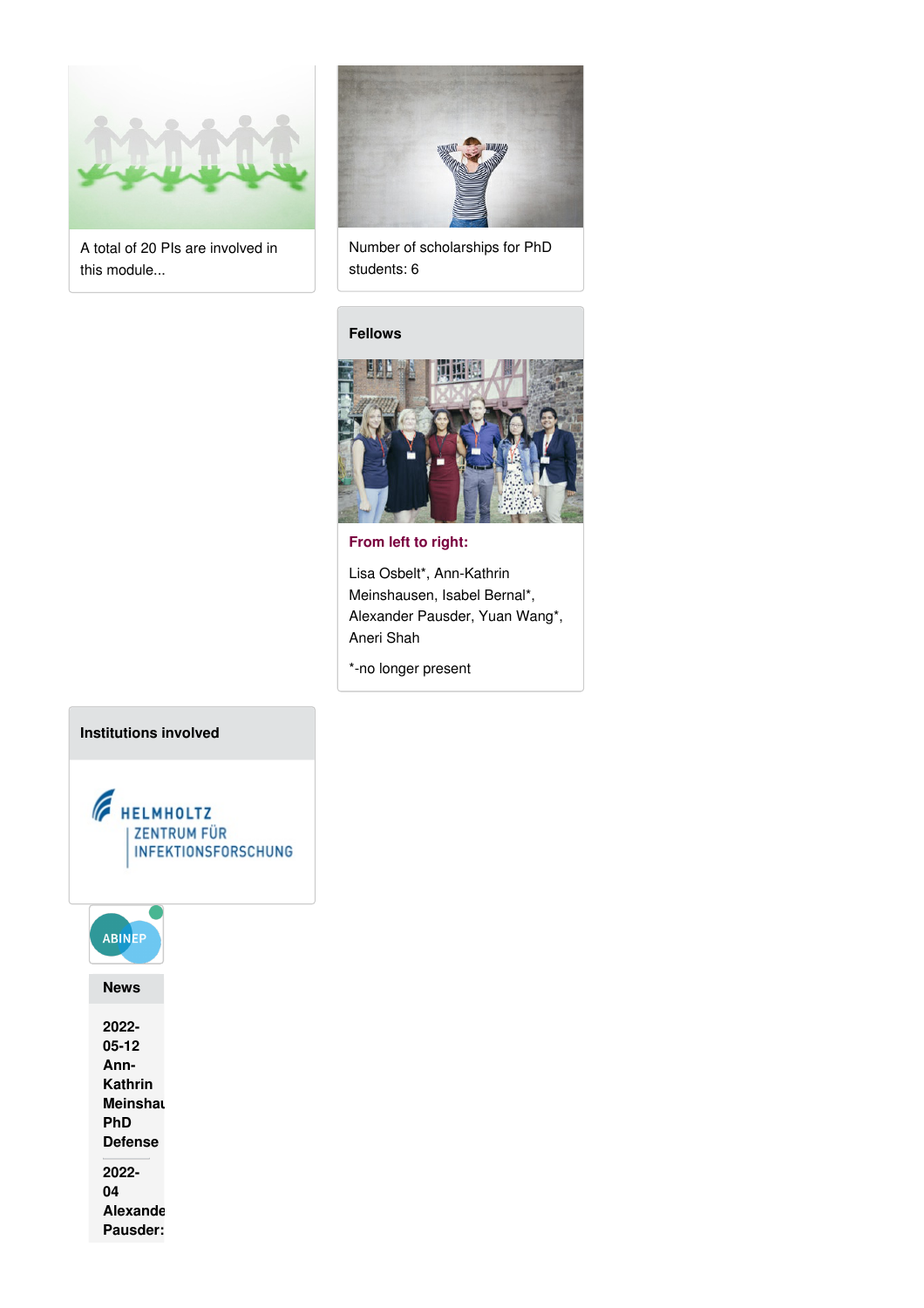

A total of 20 PIs are involved in this module...



Number of scholarships for PhD students: 6

## **[Fellows](https://www.abinep.ovgu.de/Module+3/Fellows.html)**



**From left to right:**

Lisa Osbelt\*, Ann-Kathrin Meinshausen, Isabel Bernal\*, Alexander Pausder, Yuan Wang\*, Aneri Shah

\*-no longer present